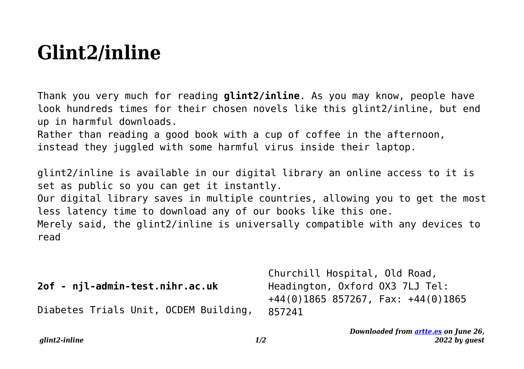## **Glint2/inline**

Thank you very much for reading **glint2/inline**. As you may know, people have look hundreds times for their chosen novels like this glint2/inline, but end up in harmful downloads.

Rather than reading a good book with a cup of coffee in the afternoon, instead they juggled with some harmful virus inside their laptop.

glint2/inline is available in our digital library an online access to it is set as public so you can get it instantly.

Our digital library saves in multiple countries, allowing you to get the most less latency time to download any of our books like this one.

Merely said, the glint2/inline is universally compatible with any devices to read

|                                       | Churchill Hospital, Old Road,                    |
|---------------------------------------|--------------------------------------------------|
| 2of - njl-admin-test.nihr.ac.uk       | Headington, Oxford OX3 7LJ Tel:                  |
| Diabetes Trials Unit, OCDEM Building, | $+44(0)1865857267$ , Fax: $+44(0)1865$<br>857241 |

*Downloaded from [artte.es](https://artte.es) on June 26, 2022 by guest*